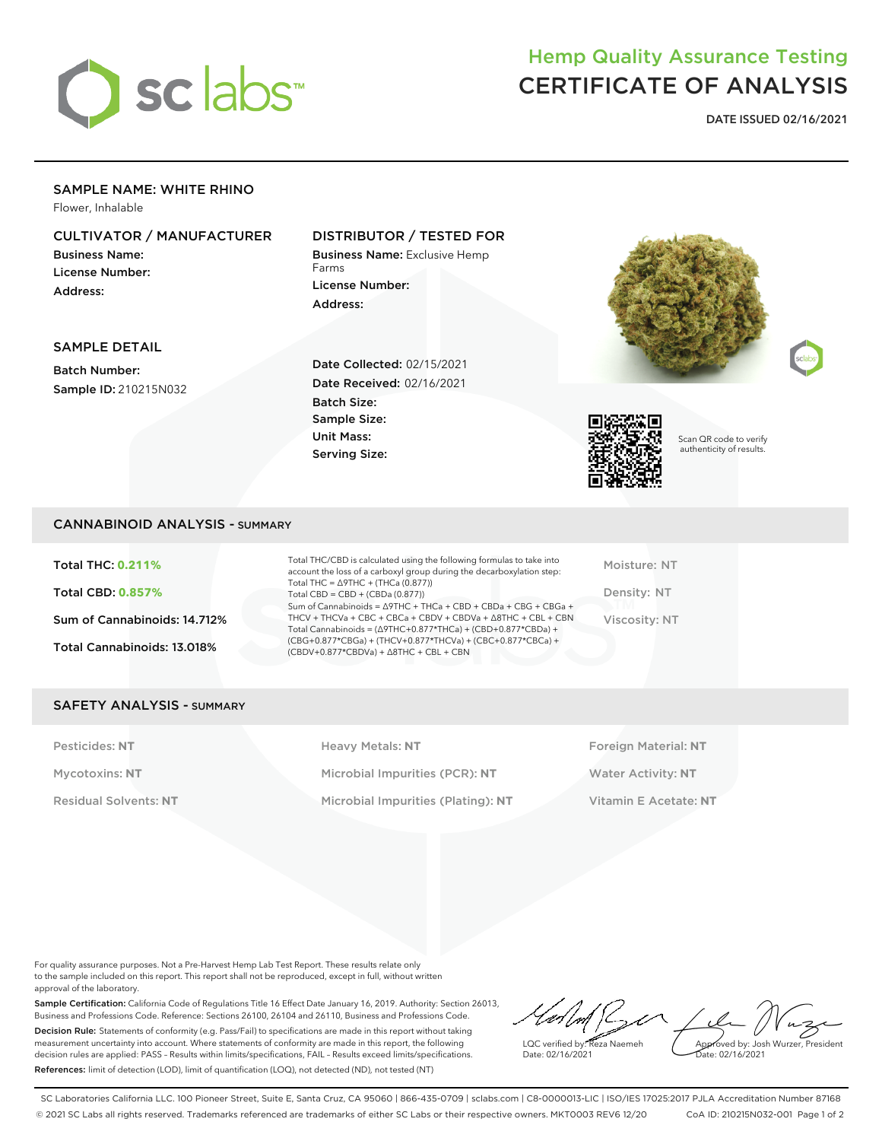

# Hemp Quality Assurance Testing CERTIFICATE OF ANALYSIS

**DATE ISSUED 02/16/2021**

## SAMPLE NAME: WHITE RHINO

Flower, Inhalable

## CULTIVATOR / MANUFACTURER

Business Name: License Number: Address:

## DISTRIBUTOR / TESTED FOR

Business Name: Exclusive Hemp Farms License Number: Address:



## SAMPLE DETAIL

Batch Number: Sample ID: 210215N032 Date Collected: 02/15/2021 Date Received: 02/16/2021 Batch Size: Sample Size: Unit Mass: Serving Size:



Scan QR code to verify authenticity of results.

#### CANNABINOID ANALYSIS - SUMMARY

Total THC: **0.211%** Total CBD: **0.857%** Sum of Cannabinoids: 14.712% Total Cannabinoids: 13.018%

Total THC/CBD is calculated using the following formulas to take into account the loss of a carboxyl group during the decarboxylation step: Total THC = ∆9THC + (THCa (0.877)) Total CBD = CBD + (CBDa (0.877)) Sum of Cannabinoids = ∆9THC + THCa + CBD + CBDa + CBG + CBGa + THCV + THCVa + CBC + CBCa + CBDV + CBDVa + ∆8THC + CBL + CBN Total Cannabinoids = (∆9THC+0.877\*THCa) + (CBD+0.877\*CBDa) + (CBG+0.877\*CBGa) + (THCV+0.877\*THCVa) + (CBC+0.877\*CBCa) + (CBDV+0.877\*CBDVa) + ∆8THC + CBL + CBN

Moisture: NT Density: NT Viscosity: NT

### SAFETY ANALYSIS - SUMMARY

Pesticides: NT **All Accords** Heavy Metals: NT **Foreign Material: NT** Pesticides: NT Mycotoxins: **NT** Microbial Impurities (PCR): **NT** Water Activity: **NT** Residual Solvents: **NT** Microbial Impurities (Plating): **NT** Vitamin E Acetate: **NT**

For quality assurance purposes. Not a Pre-Harvest Hemp Lab Test Report. These results relate only to the sample included on this report. This report shall not be reproduced, except in full, without written approval of the laboratory.

Sample Certification: California Code of Regulations Title 16 Effect Date January 16, 2019. Authority: Section 26013, Business and Professions Code. Reference: Sections 26100, 26104 and 26110, Business and Professions Code. Decision Rule: Statements of conformity (e.g. Pass/Fail) to specifications are made in this report without taking measurement uncertainty into account. Where statements of conformity are made in this report, the following decision rules are applied: PASS – Results within limits/specifications, FAIL – Results exceed limits/specifications. References: limit of detection (LOD), limit of quantification (LOQ), not detected (ND), not tested (NT)

 $\ell \land \ell$ Approved by: Josh Wurzer, President LQC verified by: Reza Naemeh ate: 02/16/2021 Date: 02/16/2021

SC Laboratories California LLC. 100 Pioneer Street, Suite E, Santa Cruz, CA 95060 | 866-435-0709 | sclabs.com | C8-0000013-LIC | ISO/IES 17025:2017 PJLA Accreditation Number 87168 © 2021 SC Labs all rights reserved. Trademarks referenced are trademarks of either SC Labs or their respective owners. MKT0003 REV6 12/20 CoA ID: 210215N032-001 Page 1 of 2